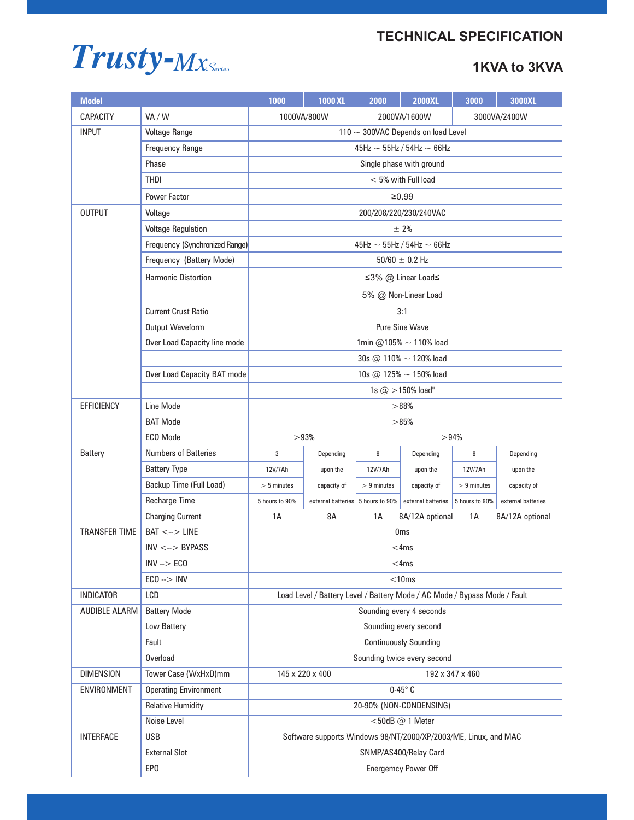# **TECHNICAL SPECIFICATION**



| <b>Model</b>         |                                | 1000                                                                      | <b>1000 XL</b>                    | 2000          | <b>2000XL</b>      | 3000           | 3000XL             |  |
|----------------------|--------------------------------|---------------------------------------------------------------------------|-----------------------------------|---------------|--------------------|----------------|--------------------|--|
| CAPACITY             | VA/W                           |                                                                           | 1000VA/800W                       |               | 2000VA/1600W       |                | 3000VA/2400W       |  |
| <b>INPUT</b>         | <b>Voltage Range</b>           | 110 $\sim$ 300VAC Depends on load Level                                   |                                   |               |                    |                |                    |  |
|                      | <b>Frequency Range</b>         | 45Hz $\sim$ 55Hz / 54Hz $\sim$ 66Hz                                       |                                   |               |                    |                |                    |  |
|                      | Phase                          | Single phase with ground                                                  |                                   |               |                    |                |                    |  |
|                      | <b>THDI</b>                    | $< 5\%$ with Full load                                                    |                                   |               |                    |                |                    |  |
|                      | <b>Power Factor</b>            | ≥0.99                                                                     |                                   |               |                    |                |                    |  |
| <b>OUTPUT</b>        | Voltage                        | 200/208/220/230/240VAC                                                    |                                   |               |                    |                |                    |  |
|                      | <b>Voltage Regulation</b>      | $± 2\%$                                                                   |                                   |               |                    |                |                    |  |
|                      | Frequency (Synchronized Range) | 45Hz $\sim$ 55Hz / 54Hz $\sim$ 66Hz                                       |                                   |               |                    |                |                    |  |
|                      | Frequency (Battery Mode)       | $50/60 \pm 0.2$ Hz                                                        |                                   |               |                    |                |                    |  |
|                      | <b>Harmonic Distortion</b>     | ≤3% @ Linear Load≤                                                        |                                   |               |                    |                |                    |  |
|                      |                                | 5% @ Non-Linear Load                                                      |                                   |               |                    |                |                    |  |
|                      | <b>Current Crust Ratio</b>     | 3:1                                                                       |                                   |               |                    |                |                    |  |
|                      | Output Waveform                | <b>Pure Sine Wave</b>                                                     |                                   |               |                    |                |                    |  |
|                      | Over Load Capacity line mode   | 1min @105% $\sim$ 110% load                                               |                                   |               |                    |                |                    |  |
|                      |                                | 30s @ 110% $\sim$ 120% load                                               |                                   |               |                    |                |                    |  |
|                      | Over Load Capacity BAT mode    | 10s @ 125% $\sim$ 150% load                                               |                                   |               |                    |                |                    |  |
|                      |                                |                                                                           |                                   |               | 1s $@>150\%$ load" |                |                    |  |
| <b>EFFICIENCY</b>    | Line Mode                      | >88%                                                                      |                                   |               |                    |                |                    |  |
|                      | <b>BAT Mode</b>                |                                                                           | >85%                              |               |                    |                |                    |  |
|                      | <b>ECO</b> Mode                | >94%<br>>93%                                                              |                                   |               |                    |                |                    |  |
| <b>Battery</b>       | <b>Numbers of Batteries</b>    | 3                                                                         | Depending                         | 8             | Depending          | 8              | Depending          |  |
|                      | <b>Battery Type</b>            | 12V/7Ah                                                                   | upon the                          | 12V/7Ah       | upon the           | 12V/7Ah        | upon the           |  |
|                      | Backup Time (Full Load)        | $> 5$ minutes                                                             | capacity of                       | $> 9$ minutes | capacity of        | $> 9$ minutes  | capacity of        |  |
|                      | <b>Recharge Time</b>           | 5 hours to 90%                                                            | external batteries 5 hours to 90% |               | external batteries | 5 hours to 90% | external batteries |  |
|                      | <b>Charging Current</b>        | 1A<br>8A<br>1A<br>1A<br>8A/12A optional<br>8A/12A optional                |                                   |               |                    |                |                    |  |
| <b>TRANSFER TIME</b> | $BAT < \rightarrow$ LINE       | 0 <sub>ms</sub>                                                           |                                   |               |                    |                |                    |  |
|                      | $INV \leftarrow > BYPASS$      | $<$ 4ms                                                                   |                                   |               |                    |                |                    |  |
|                      | $INV - > ECO$                  | $<$ 4ms                                                                   |                                   |               |                    |                |                    |  |
|                      | $ECO \rightarrow NN$           | < 10ms                                                                    |                                   |               |                    |                |                    |  |
| <b>INDICATOR</b>     | LCD                            | Load Level / Battery Level / Battery Mode / AC Mode / Bypass Mode / Fault |                                   |               |                    |                |                    |  |
| <b>AUDIBLE ALARM</b> | <b>Battery Mode</b>            | Sounding every 4 seconds                                                  |                                   |               |                    |                |                    |  |
|                      | Low Battery                    | Sounding every second                                                     |                                   |               |                    |                |                    |  |
|                      | Fault                          | <b>Continuously Sounding</b>                                              |                                   |               |                    |                |                    |  |
|                      | Overload                       | Sounding twice every second                                               |                                   |               |                    |                |                    |  |
| <b>DIMENSION</b>     | Tower Case (WxHxD)mm           | 145 x 220 x 400<br>192 x 347 x 460                                        |                                   |               |                    |                |                    |  |
| ENVIRONMENT          | <b>Operating Environment</b>   | $0-45^\circ$ C                                                            |                                   |               |                    |                |                    |  |
|                      | <b>Relative Humidity</b>       | 20-90% (NON-CONDENSING)                                                   |                                   |               |                    |                |                    |  |
|                      | Noise Level                    | <50dB @ 1 Meter                                                           |                                   |               |                    |                |                    |  |
| <b>INTERFACE</b>     | <b>USB</b>                     | Software supports Windows 98/NT/2000/XP/2003/ME, Linux, and MAC           |                                   |               |                    |                |                    |  |
|                      | <b>External Slot</b>           | SNMP/AS400/Relay Card                                                     |                                   |               |                    |                |                    |  |
|                      | EP <sub>0</sub>                | <b>Energemcy Power Off</b>                                                |                                   |               |                    |                |                    |  |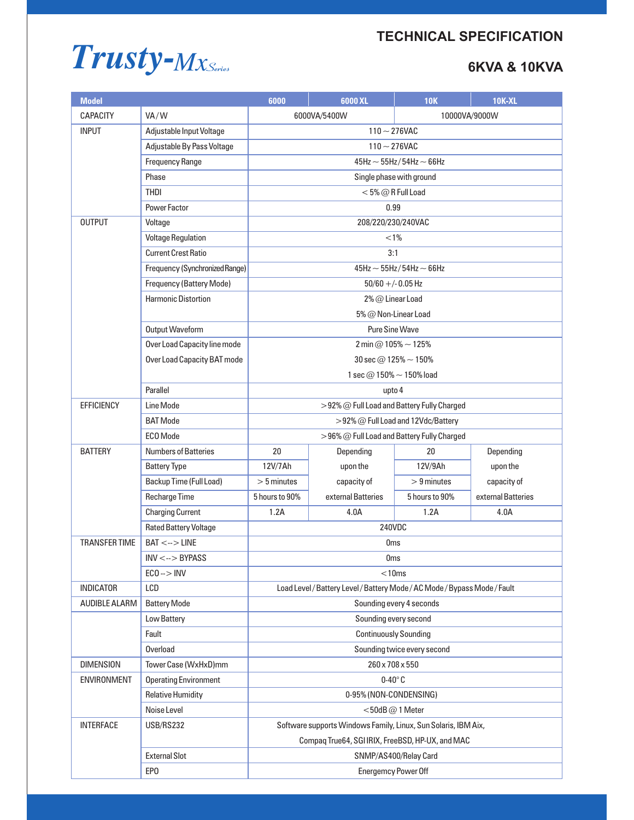# **TECHNICAL SPECIFICATION**



| <b>Model</b>         |                                | 6000                                                                      | 6000 XL                                    | <b>10K</b>     | <b>10K-XL</b>      |  |  |
|----------------------|--------------------------------|---------------------------------------------------------------------------|--------------------------------------------|----------------|--------------------|--|--|
| <b>CAPACITY</b>      | VA/W                           | 6000VA/5400W<br>10000VA/9000W                                             |                                            |                |                    |  |  |
| <b>INPUT</b>         | Adjustable Input Voltage       | $110 - 276$ VAC                                                           |                                            |                |                    |  |  |
|                      | Adjustable By Pass Voltage     | $110 - 276$ VAC                                                           |                                            |                |                    |  |  |
|                      | <b>Frequency Range</b>         | 45Hz $\sim$ 55Hz/54Hz $\sim$ 66Hz                                         |                                            |                |                    |  |  |
|                      | Phase                          | Single phase with ground                                                  |                                            |                |                    |  |  |
|                      | <b>THDI</b>                    | $<$ 5% $@$ R Full Load                                                    |                                            |                |                    |  |  |
|                      | <b>Power Factor</b>            | 0.99                                                                      |                                            |                |                    |  |  |
| <b>OUTPUT</b>        | Voltage                        | 208/220/230/240VAC                                                        |                                            |                |                    |  |  |
|                      | <b>Voltage Regulation</b>      | $< 1\%$                                                                   |                                            |                |                    |  |  |
|                      | <b>Current Crest Ratio</b>     | 3:1                                                                       |                                            |                |                    |  |  |
|                      | Frequency (Synchronized Range) | $45$ Hz $\sim$ 55Hz/54Hz $\sim$ 66Hz                                      |                                            |                |                    |  |  |
|                      | Frequency (Battery Mode)       | $50/60 + (-0.05)$ Hz                                                      |                                            |                |                    |  |  |
|                      | <b>Harmonic Distortion</b>     | 2% @ Linear Load                                                          |                                            |                |                    |  |  |
|                      |                                | 5% @ Non-Linear Load                                                      |                                            |                |                    |  |  |
|                      | Output Waveform                | <b>Pure Sine Wave</b>                                                     |                                            |                |                    |  |  |
|                      | Over Load Capacity line mode   | 2 min @ 105% $\sim$ 125%                                                  |                                            |                |                    |  |  |
|                      | Over Load Capacity BAT mode    | 30 sec $@$ 125% $\sim$ 150%                                               |                                            |                |                    |  |  |
|                      |                                | 1 sec $@$ 150% $\sim$ 150% load                                           |                                            |                |                    |  |  |
|                      | Parallel                       | upto 4                                                                    |                                            |                |                    |  |  |
| <b>EFFICIENCY</b>    | Line Mode                      | >92% @ Full Load and Battery Fully Charged                                |                                            |                |                    |  |  |
|                      | <b>BAT</b> Mode                | >92% @ Full Load and 12Vdc/Battery                                        |                                            |                |                    |  |  |
|                      | ECO Mode                       |                                                                           | >96% @ Full Load and Battery Fully Charged |                |                    |  |  |
| <b>BATTERY</b>       | <b>Numbers of Batteries</b>    | 20                                                                        | Depending                                  | 20             | Depending          |  |  |
|                      | <b>Battery Type</b>            | 12V/7Ah                                                                   | upon the                                   | 12V/9Ah        | upon the           |  |  |
|                      | Backup Time (Full Load)        | $> 5$ minutes                                                             | capacity of                                | $> 9$ minutes  | capacity of        |  |  |
|                      | <b>Recharge Time</b>           | 5 hours to 90%                                                            | external Batteries                         | 5 hours to 90% | external Batteries |  |  |
|                      | <b>Charging Current</b>        | 1.2A                                                                      | 4.0A                                       | 1.2A           | 4.0A               |  |  |
|                      | <b>Rated Battery Voltage</b>   | 240VDC                                                                    |                                            |                |                    |  |  |
| <b>TRANSFER TIME</b> | $BAT < ->$ LINE                | Oms                                                                       |                                            |                |                    |  |  |
|                      | $INV < -$ > BYPASS             | <b>Oms</b>                                                                |                                            |                |                    |  |  |
|                      | $ECO \rightarrow NN$           | $<$ 10 $ms$                                                               |                                            |                |                    |  |  |
| <b>INDICATOR</b>     | LCD                            | Load Level / Battery Level / Battery Mode / AC Mode / Bypass Mode / Fault |                                            |                |                    |  |  |
| AUDIBLE ALARM        | <b>Battery Mode</b>            | Sounding every 4 seconds                                                  |                                            |                |                    |  |  |
|                      | Low Battery                    | Sounding every second                                                     |                                            |                |                    |  |  |
|                      | Fault                          | <b>Continuously Sounding</b>                                              |                                            |                |                    |  |  |
|                      | Overload                       | Sounding twice every second                                               |                                            |                |                    |  |  |
| <b>DIMENSION</b>     | Tower Case (WxHxD)mm           | 260 x 708 x 550                                                           |                                            |                |                    |  |  |
| ENVIRONMENT          | <b>Operating Environment</b>   | $0-40^\circ C$                                                            |                                            |                |                    |  |  |
|                      | <b>Relative Humidity</b>       | 0-95% (NON-CONDENSING)                                                    |                                            |                |                    |  |  |
|                      | Noise Level                    | $<$ 50dB $@$ 1 Meter                                                      |                                            |                |                    |  |  |
| <b>INTERFACE</b>     | USB/RS232                      | Software supports Windows Family, Linux, Sun Solaris, IBM Aix,            |                                            |                |                    |  |  |
|                      |                                | Compaq True64, SGI IRIX, FreeBSD, HP-UX, and MAC                          |                                            |                |                    |  |  |
|                      | <b>External Slot</b>           | SNMP/AS400/Relay Card                                                     |                                            |                |                    |  |  |
|                      | EP <sub>0</sub>                | <b>Energemcy Power Off</b>                                                |                                            |                |                    |  |  |